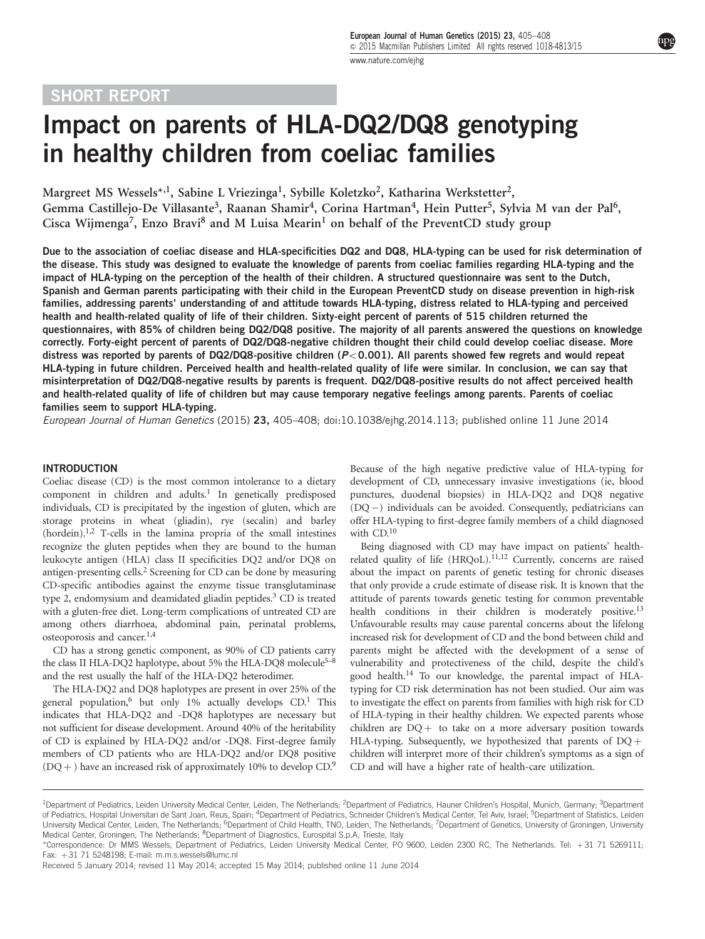# SHORT REPORT

# Impact on parents of HLA-DQ2/DQ8 genotyping in healthy children from coeliac families

Margreet MS Wessels\*,<sup>1</sup>, Sabine L Vriezinga<sup>1</sup>, Sybille Koletzko<sup>2</sup>, Katharina Werkstetter<sup>2</sup>, Gemma Castillejo-De Villasante<sup>3</sup>, Raanan Shamir<sup>4</sup>, Corina Hartman<sup>4</sup>, Hein Putter<sup>5</sup>, Sylvia M van der Pal<sup>6</sup>, Cisca Wijmenga<sup>7</sup>, Enzo Bravi<sup>8</sup> and M Luisa Mearin<sup>1</sup> on behalf of the PreventCD study group

Due to the association of coeliac disease and HLA-specificities DQ2 and DQ8, HLA-typing can be used for risk determination of the disease. This study was designed to evaluate the knowledge of parents from coeliac families regarding HLA-typing and the impact of HLA-typing on the perception of the health of their children. A structured questionnaire was sent to the Dutch, Spanish and German parents participating with their child in the European PreventCD study on disease prevention in high-risk families, addressing parents' understanding of and attitude towards HLA-typing, distress related to HLA-typing and perceived health and health-related quality of life of their children. Sixty-eight percent of parents of 515 children returned the questionnaires, with 85% of children being DQ2/DQ8 positive. The majority of all parents answered the questions on knowledge correctly. Forty-eight percent of parents of DQ2/DQ8-negative children thought their child could develop coeliac disease. More distress was reported by parents of DQ2/DQ8-positive children ( $P < 0.001$ ). All parents showed few regrets and would repeat HLA-typing in future children. Perceived health and health-related quality of life were similar. In conclusion, we can say that misinterpretation of DQ2/DQ8-negative results by parents is frequent. DQ2/DQ8-positive results do not affect perceived health and health-related quality of life of children but may cause temporary negative feelings among parents. Parents of coeliac families seem to support HLA-typing.

European Journal of Human Genetics (2015) 23, 405–408; doi[:10.1038/ejhg.2014.113;](http://dx.doi.org/10.1038/ejhg.2014.113) published online 11 June 2014

#### **INTRODUCTION**

Coeliac disease (CD) is the most common intolerance to a dietary component in children and adults.<sup>[1](#page-3-0)</sup> In genetically predisposed individuals, CD is precipitated by the ingestion of gluten, which are storage proteins in wheat (gliadin), rye (secalin) and barley  $(hordein).<sup>1,2</sup>$  T-cells in the lamina propria of the small intestines recognize the gluten peptides when they are bound to the human leukocyte antigen (HLA) class II specificities DQ2 and/or DQ8 on antigen-presenting cells[.2](#page-3-0) Screening for CD can be done by measuring CD-specific antibodies against the enzyme tissue transglutaminase type 2, endomysium and deamidated gliadin peptides.<sup>3</sup> CD is treated with a gluten-free diet. Long-term complications of untreated CD are among others diarrhoea, abdominal pain, perinatal problems, osteoporosis and cancer.<sup>[1,4](#page-3-0)</sup>

CD has a strong genetic component, as 90% of CD patients carry the class II HLA-DQ2 haplotype, about 5% the HLA-DQ8 molecule<sup>5–8</sup> and the rest usually the half of the HLA-DQ2 heterodimer.

The HLA-DQ2 and DQ8 haplotypes are present in over 25% of the general population,<sup>6</sup> but only 1% actually develops  $CD$ .<sup>1</sup> This indicates that HLA-DQ2 and -DQ8 haplotypes are necessary but not sufficient for disease development. Around 40% of the heritability of CD is explained by HLA-DQ2 and/or -DQ8. First-degree family members of CD patients who are HLA-DQ2 and/or DQ8 positive  $(DQ+)$  have an increased risk of approximately 10% to develop CD.<sup>[9](#page-3-0)</sup> Because of the high negative predictive value of HLA-typing for development of CD, unnecessary invasive investigations (ie, blood punctures, duodenal biopsies) in HLA-DQ2 and DQ8 negative (DQ -) individuals can be avoided. Consequently, pediatricians can offer HLA-typing to first-degree family members of a child diagnosed with CD.<sup>[10](#page-3-0)</sup>

Being diagnosed with CD may have impact on patients' healthrelated quality of life (HRQoL).<sup>11,12</sup> Currently, concerns are raised about the impact on parents of genetic testing for chronic diseases that only provide a crude estimate of disease risk. It is known that the attitude of parents towards genetic testing for common preventable health conditions in their children is moderately positive.<sup>[13](#page-3-0)</sup> Unfavourable results may cause parental concerns about the lifelong increased risk for development of CD and the bond between child and parents might be affected with the development of a sense of vulnerability and protectiveness of the child, despite the child's good health.[14](#page-3-0) To our knowledge, the parental impact of HLAtyping for CD risk determination has not been studied. Our aim was to investigate the effect on parents from families with high risk for CD of HLA-typing in their healthy children. We expected parents whose children are  $DQ$  to take on a more adversary position towards HLA-typing. Subsequently, we hypothesized that parents of  $DQ +$ children will interpret more of their children's symptoms as a sign of CD and will have a higher rate of health-care utilization.

<sup>&</sup>lt;sup>1</sup>Department of Pediatrics, Leiden University Medical Center, Leiden, The Netherlands; <sup>2</sup>Department of Pediatrics, Hauner Children's Hospital, Munich, Germany; <sup>3</sup>Department of Pediatrics, Hospital Universitari de Sant Joan, Reus, Spain; <sup>4</sup>Department of Pediatrics, Schneider Children's Medical Center, Tel Aviv, Israel; <sup>5</sup>Department of Statistics, Leiden University Medical Center, Leiden, The Netherlands; <sup>6</sup>Department of Child Health, TNO, Leiden, The Netherlands; 7Department of Genetics, University of Groningen, University Medical Center, Groningen, The Netherlands; <sup>8</sup>Department of Diagnostics, Eurospital S.p.A, Trieste, Italy

<sup>\*</sup>Correspondence: Dr MMS Wessels, Department of Pediatrics, Leiden University Medical Center, PO 9600, Leiden 2300 RC, The Netherlands. Tel: þ 31 71 5269111; Fax: þ 31 71 5248198; E-mail: [m.m.s.wessels@lumc.nl](mailto:m.m.s.wessels@lumc.nl)

Received 5 January 2014; revised 11 May 2014; accepted 15 May 2014; published online 11 June 2014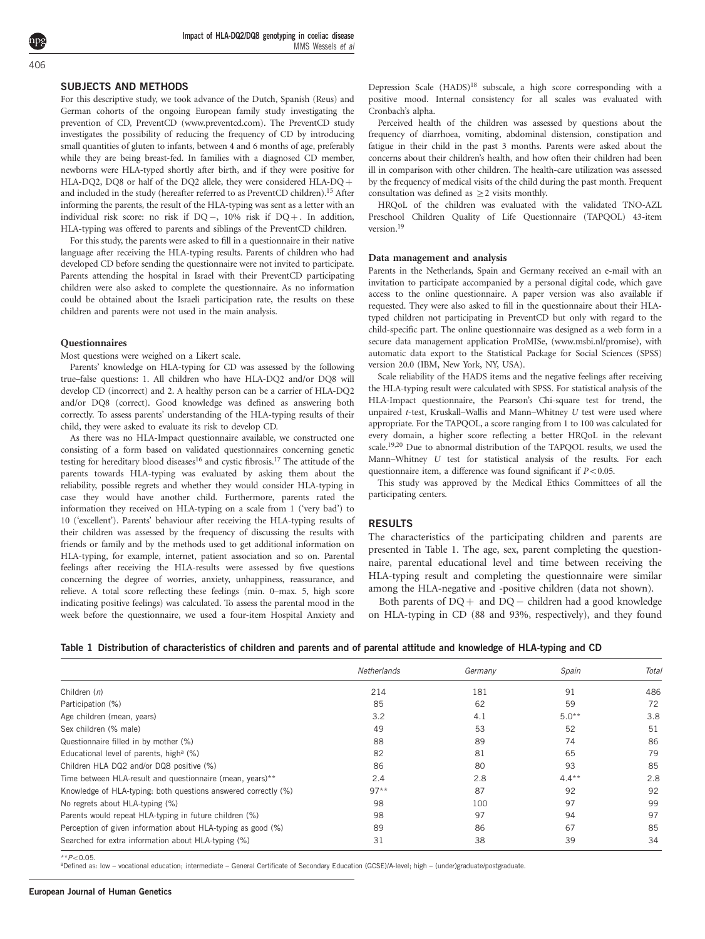language after receiving the HLA-typing results. Parents of children who had developed CD before sending the questionnaire were not invited to participate. Parents attending the hospital in Israel with their PreventCD participating children were also asked to complete the questionnaire. As no information could be obtained about the Israeli participation rate, the results on these children and parents were not used in the main analysis.

For this descriptive study, we took advance of the Dutch, Spanish (Reus) and German cohorts of the ongoing European family study investigating the prevention of CD, PreventCD [\(www.preventcd.com\)](www.preventcd.com). The PreventCD study investigates the possibility of reducing the frequency of CD by introducing small quantities of gluten to infants, between 4 and 6 months of age, preferably while they are being breast-fed. In families with a diagnosed CD member, newborns were HLA-typed shortly after birth, and if they were positive for HLA-DQ2, DQ8 or half of the DQ2 allele, they were considered HLA-DQ + and included in the study (hereafter referred to as PreventCD children).<sup>15</sup> After informing the parents, the result of the HLA-typing was sent as a letter with an individual risk score: no risk if  $DQ-$ , 10% risk if  $DQ+$ . In addition, HLA-typing was offered to parents and siblings of the PreventCD children. For this study, the parents were asked to fill in a questionnaire in their native

Impact of HLA-DQ2/DQ8 genotyping in coeliac disease

MMS Wessels et al

#### **Questionnaires**

Most questions were weighed on a Likert scale.

<span id="page-1-0"></span>SUBJECTS AND METHODS

Parents' knowledge on HLA-typing for CD was assessed by the following true–false questions: 1. All children who have HLA-DQ2 and/or DQ8 will develop CD (incorrect) and 2. A healthy person can be a carrier of HLA-DQ2 and/or DQ8 (correct). Good knowledge was defined as answering both correctly. To assess parents' understanding of the HLA-typing results of their child, they were asked to evaluate its risk to develop CD.

As there was no HLA-Impact questionnaire available, we constructed one consisting of a form based on validated questionnaires concerning genetic testing for hereditary blood diseases<sup>16</sup> and cystic fibrosis.<sup>17</sup> The attitude of the parents towards HLA-typing was evaluated by asking them about the reliability, possible regrets and whether they would consider HLA-typing in case they would have another child. Furthermore, parents rated the information they received on HLA-typing on a scale from 1 ('very bad') to 10 ('excellent'). Parents' behaviour after receiving the HLA-typing results of their children was assessed by the frequency of discussing the results with friends or family and by the methods used to get additional information on HLA-typing, for example, internet, patient association and so on. Parental feelings after receiving the HLA-results were assessed by five questions concerning the degree of worries, anxiety, unhappiness, reassurance, and relieve. A total score reflecting these feelings (min. 0–max. 5, high score indicating positive feelings) was calculated. To assess the parental mood in the week before the questionnaire, we used a four-item Hospital Anxiety and

Depression Scale (HADS)[18](#page-3-0) subscale, a high score corresponding with a positive mood. Internal consistency for all scales was evaluated with Cronbach's alpha.

Perceived health of the children was assessed by questions about the frequency of diarrhoea, vomiting, abdominal distension, constipation and fatigue in their child in the past 3 months. Parents were asked about the concerns about their children's health, and how often their children had been ill in comparison with other children. The health-care utilization was assessed by the frequency of medical visits of the child during the past month. Frequent consultation was defined as  $\geq$  2 visits monthly.

HRQoL of the children was evaluated with the validated TNO-AZL Preschool Children Quality of Life Questionnaire (TAPQOL) 43-item version.<sup>[19](#page-3-0)</sup>

#### Data management and analysis

Parents in the Netherlands, Spain and Germany received an e-mail with an invitation to participate accompanied by a personal digital code, which gave access to the online questionnaire. A paper version was also available if requested. They were also asked to fill in the questionnaire about their HLAtyped children not participating in PreventCD but only with regard to the child-specific part. The online questionnaire was designed as a web form in a secure data management application ProMISe, (<www.msbi.nl/promise>), with automatic data export to the Statistical Package for Social Sciences (SPSS) version 20.0 (IBM, New York, NY, USA).

Scale reliability of the HADS items and the negative feelings after receiving the HLA-typing result were calculated with SPSS. For statistical analysis of the HLA-Impact questionnaire, the Pearson's Chi-square test for trend, the unpaired t-test, Kruskall–Wallis and Mann–Whitney U test were used where appropriate. For the TAPQOL, a score ranging from 1 to 100 was calculated for every domain, a higher score reflecting a better HRQoL in the relevant scale.[19,20](#page-3-0) Due to abnormal distribution of the TAPQOL results, we used the Mann–Whitney U test for statistical analysis of the results. For each questionnaire item, a difference was found significant if  $P < 0.05$ .

This study was approved by the Medical Ethics Committees of all the participating centers.

#### **RESULTS**

The characteristics of the participating children and parents are presented in Table 1. The age, sex, parent completing the questionnaire, parental educational level and time between receiving the HLA-typing result and completing the questionnaire were similar among the HLA-negative and -positive children (data not shown).

Both parents of  $DQ$  + and  $DQ$  – children had a good knowledge on HLA-typing in CD (88 and 93%, respectively), and they found

| Table 1 Distribution of characteristics of children and parents and of parental attitude and knowledge of HLA-typing and CD |  |  |  |
|-----------------------------------------------------------------------------------------------------------------------------|--|--|--|
|-----------------------------------------------------------------------------------------------------------------------------|--|--|--|

|                                                                | Netherlands | Germany | Spain    | Total |
|----------------------------------------------------------------|-------------|---------|----------|-------|
| Children $(n)$                                                 | 214         | 181     | 91       | 486   |
| Participation (%)                                              | 85          | 62      | 59       | 72    |
| Age children (mean, years)                                     | 3.2         | 4.1     | $5.0**$  | 3.8   |
| Sex children (% male)                                          | 49          | 53      | 52       | 51    |
| Questionnaire filled in by mother (%)                          | 88          | 89      | 74       | 86    |
| Educational level of parents, high <sup>a</sup> (%)            | 82          | 81      | 65       | 79    |
| Children HLA DQ2 and/or DQ8 positive (%)                       | 86          | 80      | 93       | 85    |
| Time between HLA-result and questionnaire (mean, years)**      | 2.4         | 2.8     | $4.4***$ | 2.8   |
| Knowledge of HLA-typing: both questions answered correctly (%) | $97**$      | 87      | 92       | 92    |
| No regrets about HLA-typing (%)                                | 98          | 100     | 97       | 99    |
| Parents would repeat HLA-typing in future children (%)         | 98          | 97      | 94       | 97    |
| Perception of given information about HLA-typing as good (%)   | 89          | 86      | 67       | 85    |
| Searched for extra information about HLA-typing (%)            | 31          | 38      | 39       | 34    |

\*\*P<0.05.<br><sup>a</sup>Defined as: low – vocational education; intermediate – General Certificate of Secondary Education (GCSE)/A-level; high – (under)graduate/postgraduate.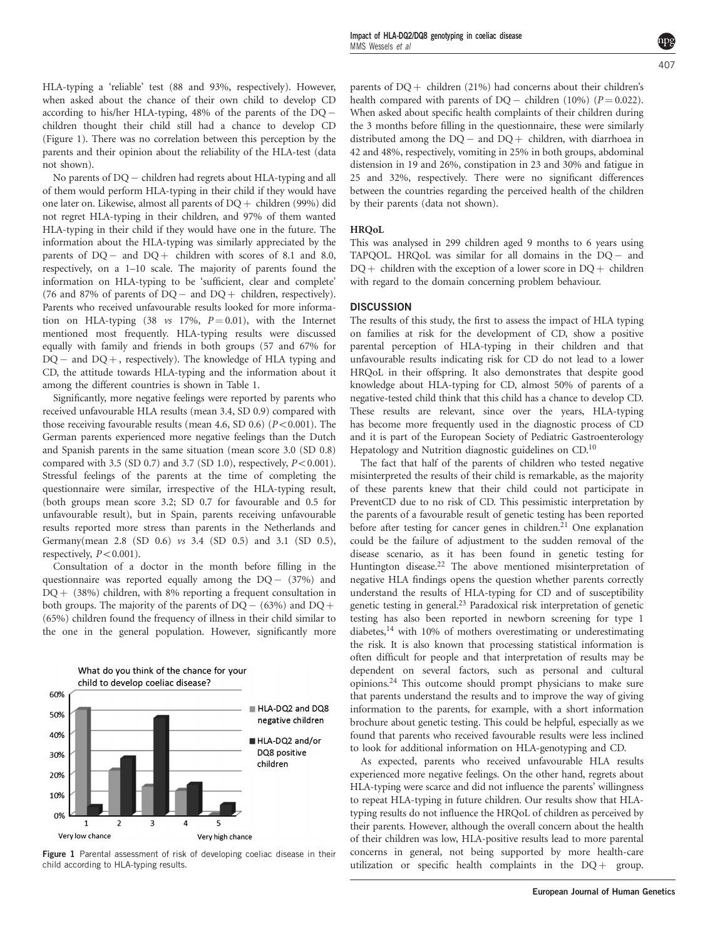HLA-typing a 'reliable' test (88 and 93%, respectively). However, when asked about the chance of their own child to develop CD according to his/her HLA-typing, 48% of the parents of the DQ children thought their child still had a chance to develop CD (Figure 1). There was no correlation between this perception by the parents and their opinion about the reliability of the HLA-test (data not shown).

No parents of DQ- children had regrets about HLA-typing and all of them would perform HLA-typing in their child if they would have one later on. Likewise, almost all parents of  $DO +$  children (99%) did not regret HLA-typing in their children, and 97% of them wanted HLA-typing in their child if they would have one in the future. The information about the HLA-typing was similarly appreciated by the parents of  $DQ-$  and  $DQ+$  children with scores of 8.1 and 8.0, respectively, on a 1–10 scale. The majority of parents found the information on HLA-typing to be 'sufficient, clear and complete' (76 and 87% of parents of  $DQ$  – and  $DQ$  + children, respectively). Parents who received unfavourable results looked for more information on HLA-typing (38  $vs$  17%,  $P = 0.01$ ), with the Internet mentioned most frequently. HLA-typing results were discussed equally with family and friends in both groups (57 and 67% for DQ – and DQ +, respectively). The knowledge of HLA typing and CD, the attitude towards HLA-typing and the information about it among the different countries is shown in [Table 1](#page-1-0).

Significantly, more negative feelings were reported by parents who received unfavourable HLA results (mean 3.4, SD 0.9) compared with those receiving favourable results (mean 4.6, SD 0.6) ( $P < 0.001$ ). The German parents experienced more negative feelings than the Dutch and Spanish parents in the same situation (mean score 3.0 (SD 0.8) compared with 3.5 (SD 0.7) and 3.7 (SD 1.0), respectively,  $P < 0.001$ ). Stressful feelings of the parents at the time of completing the questionnaire were similar, irrespective of the HLA-typing result, (both groups mean score 3.2; SD 0.7 for favourable and 0.5 for unfavourable result), but in Spain, parents receiving unfavourable results reported more stress than parents in the Netherlands and Germany(mean 2.8 (SD 0.6) vs 3.4 (SD 0.5) and 3.1 (SD 0.5), respectively,  $P < 0.001$ ).

Consultation of a doctor in the month before filling in the questionnaire was reported equally among the  $DQ - (37%)$  and  $DQ + (38%)$  children, with 8% reporting a frequent consultation in both groups. The majority of the parents of  $DQ - (63\%)$  and  $DQ +$ (65%) children found the frequency of illness in their child similar to the one in the general population. However, significantly more



Figure 1 Parental assessment of risk of developing coeliac disease in their child according to HLA-typing results.

parents of  $DQ$  + children (21%) had concerns about their children's health compared with parents of  $DQ -$  children (10%) ( $P = 0.022$ ). When asked about specific health complaints of their children during the 3 months before filling in the questionnaire, these were similarly distributed among the  $DQ -$  and  $DQ +$  children, with diarrhoea in 42 and 48%, respectively, vomiting in 25% in both groups, abdominal distension in 19 and 26%, constipation in 23 and 30% and fatigue in 25 and 32%, respectively. There were no significant differences between the countries regarding the perceived health of the children by their parents (data not shown).

#### **HROoL**

This was analysed in 299 children aged 9 months to 6 years using TAPQOL. HRQoL was similar for all domains in the DQ- and  $DQ$  + children with the exception of a lower score in  $DQ$  + children with regard to the domain concerning problem behaviour.

## **DISCUSSION**

The results of this study, the first to assess the impact of HLA typing on families at risk for the development of CD, show a positive parental perception of HLA-typing in their children and that unfavourable results indicating risk for CD do not lead to a lower HRQoL in their offspring. It also demonstrates that despite good knowledge about HLA-typing for CD, almost 50% of parents of a negative-tested child think that this child has a chance to develop CD. These results are relevant, since over the years, HLA-typing has become more frequently used in the diagnostic process of CD and it is part of the European Society of Pediatric Gastroenterology Hepatology and Nutrition diagnostic guidelines on CD.<sup>10</sup>

The fact that half of the parents of children who tested negative misinterpreted the results of their child is remarkable, as the majority of these parents knew that their child could not participate in PreventCD due to no risk of CD. This pessimistic interpretation by the parents of a favourable result of genetic testing has been reported before after testing for cancer genes in children.<sup>[21](#page-3-0)</sup> One explanation could be the failure of adjustment to the sudden removal of the disease scenario, as it has been found in genetic testing for Huntington disease.<sup>[22](#page-3-0)</sup> The above mentioned misinterpretation of negative HLA findings opens the question whether parents correctly understand the results of HLA-typing for CD and of susceptibility genetic testing in general.[23](#page-3-0) Paradoxical risk interpretation of genetic testing has also been reported in newborn screening for type 1 diabetes[,14](#page-3-0) with 10% of mothers overestimating or underestimating the risk. It is also known that processing statistical information is often difficult for people and that interpretation of results may be dependent on several factors, such as personal and cultural opinions[.24](#page-3-0) This outcome should prompt physicians to make sure that parents understand the results and to improve the way of giving information to the parents, for example, with a short information brochure about genetic testing. This could be helpful, especially as we found that parents who received favourable results were less inclined to look for additional information on HLA-genotyping and CD.

As expected, parents who received unfavourable HLA results experienced more negative feelings. On the other hand, regrets about HLA-typing were scarce and did not influence the parents' willingness to repeat HLA-typing in future children. Our results show that HLAtyping results do not influence the HRQoL of children as perceived by their parents. However, although the overall concern about the health of their children was low, HLA-positive results lead to more parental concerns in general, not being supported by more health-care utilization or specific health complaints in the  $DQ$  group.